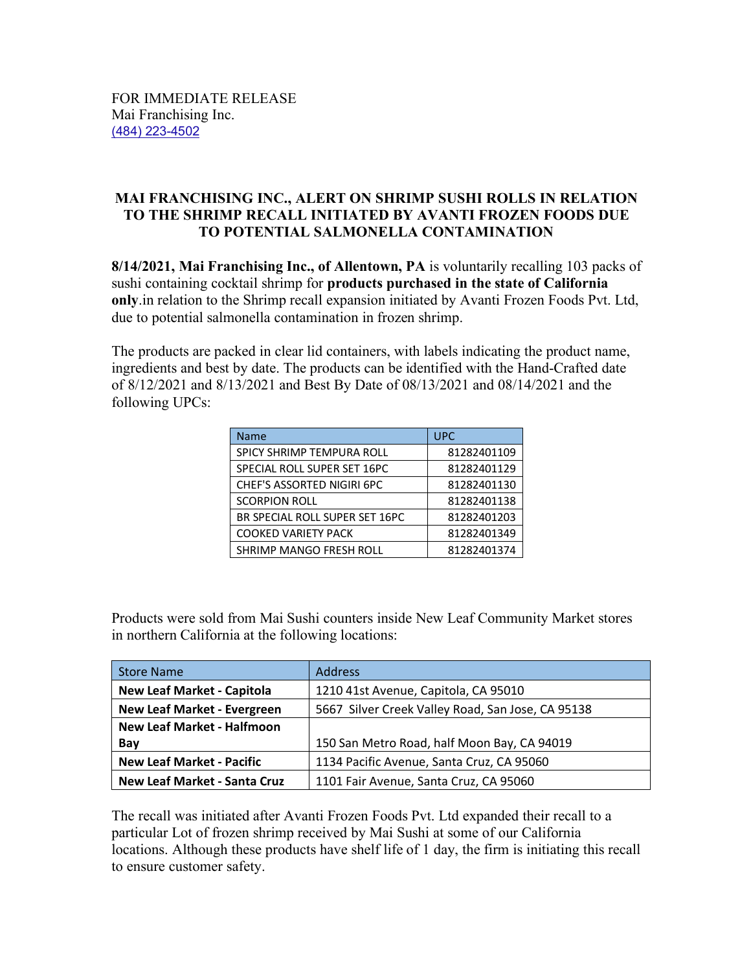## **MAI FRANCHISING INC., ALERT ON SHRIMP SUSHI ROLLS IN RELATION TO THE SHRIMP RECALL INITIATED BY AVANTI FROZEN FOODS DUE TO POTENTIAL SALMONELLA CONTAMINATION**

**8/14/2021, Mai Franchising Inc., of Allentown, PA** is voluntarily recalling 103 packs of sushi containing cocktail shrimp for **products purchased in the state of California only**.in relation to the Shrimp recall expansion initiated by Avanti Frozen Foods Pvt. Ltd, due to potential salmonella contamination in frozen shrimp.

The products are packed in clear lid containers, with labels indicating the product name, ingredients and best by date. The products can be identified with the Hand-Crafted date of 8/12/2021 and 8/13/2021 and Best By Date of 08/13/2021 and 08/14/2021 and the following UPCs:

| <b>Name</b>                    | <b>UPC</b>  |
|--------------------------------|-------------|
| SPICY SHRIMP TEMPURA ROLL      | 81282401109 |
| SPECIAL ROLL SUPER SET 16PC    | 81282401129 |
| CHEF'S ASSORTED NIGIRI 6PC     | 81282401130 |
| <b>SCORPION ROLL</b>           | 81282401138 |
| BR SPECIAL ROLL SUPER SET 16PC | 81282401203 |
| COOKED VARIETY PACK            | 81282401349 |
| SHRIMP MANGO FRESH ROLL        | 81282401374 |

Products were sold from Mai Sushi counters inside New Leaf Community Market stores in northern California at the following locations:

| <b>Store Name</b>                                                             | <b>Address</b>                                    |  |
|-------------------------------------------------------------------------------|---------------------------------------------------|--|
| <b>New Leaf Market - Capitola</b>                                             | 1210 41st Avenue, Capitola, CA 95010              |  |
| <b>New Leaf Market - Evergreen</b>                                            | 5667 Silver Creek Valley Road, San Jose, CA 95138 |  |
| <b>New Leaf Market - Halfmoon</b>                                             |                                                   |  |
| Bay                                                                           | 150 San Metro Road, half Moon Bay, CA 94019       |  |
| <b>New Leaf Market - Pacific</b>                                              | 1134 Pacific Avenue, Santa Cruz, CA 95060         |  |
| <b>New Leaf Market - Santa Cruz</b><br>1101 Fair Avenue, Santa Cruz, CA 95060 |                                                   |  |

The recall was initiated after Avanti Frozen Foods Pvt. Ltd expanded their recall to a particular Lot of frozen shrimp received by Mai Sushi at some of our California locations. Although these products have shelf life of 1 day, the firm is initiating this recall to ensure customer safety.